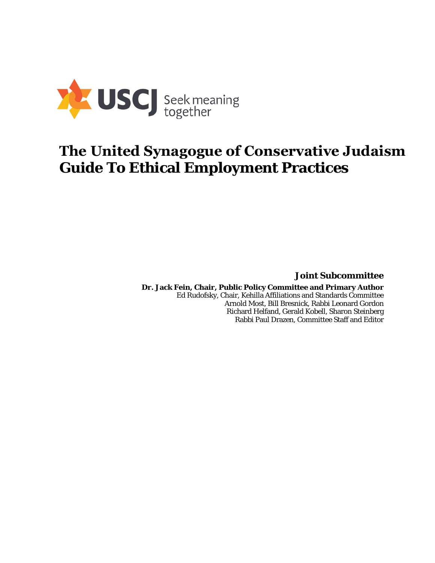

# **The United Synagogue of Conservative Judaism Guide To Ethical Employment Practices**

**Joint Subcommittee** 

**Dr. Jack Fein, Chair, Public Policy Committee and Primary Author**  Ed Rudofsky, Chair, Kehilla Affiliations and Standards Committee Arnold Most, Bill Bresnick, Rabbi Leonard Gordon Richard Helfand, Gerald Kobell, Sharon Steinberg Rabbi Paul Drazen, Committee Staff and Editor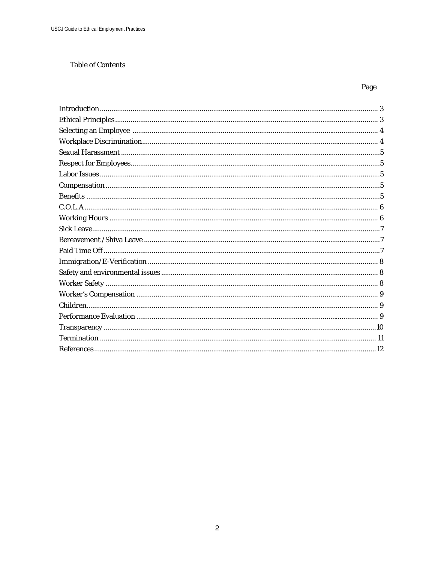## **Table of Contents**

# Page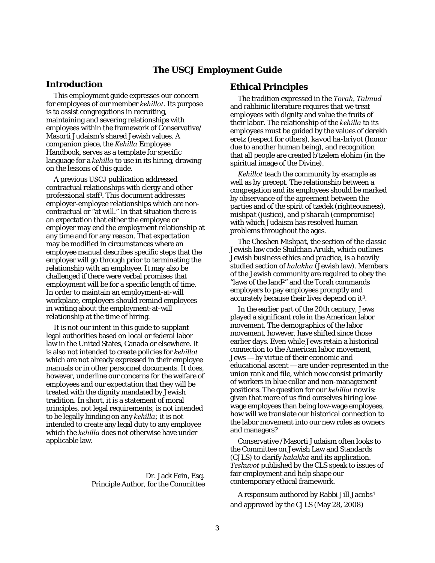## **The USCJ Employment Guide**

## **Introduction**

This employment guide expresses our concern for employees of our member *kehillot.* Its purpose is to assist congregations in recruiting, maintaining and severing relationships with employees within the framework of Conservative/ Masorti Judaism's shared Jewish values. A companion piece, the *Kehilla* Employee Handbook, serves as a template for specific language for a *kehilla* to use in its hiring, drawing on the lessons of this guide.

A previous USCJ publication addressed contractual relationships with clergy and other professional staff<sup>1</sup> . This document addresses employer-employee relationships which are noncontractual or "at will." In that situation there is an expectation that either the employee or employer may end the employment relationship at any time and for any reason. That expectation may be modified in circumstances where an employee manual describes specific steps that the employer will go through prior to terminating the relationship with an employee. It may also be challenged if there were verbal promises that employment will be for a specific length of time. In order to maintain an employment-at-will workplace, employers should remind employees in writing about the employment-at-will relationship at the time of hiring.

It is not our intent in this guide to supplant legal authorities based on local or federal labor law in the United States, Canada or elsewhere. It is also not intended to create policies for *kehillot* which are not already expressed in their employee manuals or in other personnel documents. It does, however, underline our concerns for the welfare of employees and our expectation that they will be treated with the dignity mandated by Jewish tradition. In short, it is a statement of moral principles, not legal requirements; is not intended to be legally binding on any *kehilla;* it is not intended to create any legal duty to any employee which the *kehilla* does not otherwise have under applicable law.

> Dr. Jack Fein, Esq. Principle Author, for the Committee

## **Ethical Principles**

The tradition expressed in the *Torah, Talmud* and rabbinic literature requires that we treat employees with dignity and value the fruits of their labor. The relationship of the *kehilla* to its employees must be guided by the values of *derekh eretz* (respect for others), *kavod ha-briyot* (honor due to another human being), and recognition that all people are created *b'tzelem elohim* (in the spiritual image of the Divine).

*Kehillot* teach the community by example as well as by precept. The relationship between a congregation and its employees should be marked by observance of the agreement between the parties and of the spirit of *tzedek* (righteousness), *mishpat* (justice), and *p'sharah* (compromise) with which Judaism has resolved human problems throughout the ages.

The *Choshen Mishpat*, the section of the classic Jewish law code *Shulchan Arukh,* which outlines Jewish business ethics and practice, is a heavily studied section of *halakha* (Jewish law). Members of the Jewish community are required to obey the "laws of the land2" and the Torah commands employers to pay employees promptly and accurately because their lives depend on it3.

In the earlier part of the 20th century, Jews played a significant role in the American labor movement. The demographics of the labor movement, however, have shifted since those earlier days. Even while Jews retain a historical connection to the American labor movement, Jews — by virtue of their economic and educational ascent — are under-represented in the union rank and file, which now consist primarily of workers in blue collar and non-management positions. The question for our *kehillot* now is: given that more of us find ourselves hiring lowwage employees than being low-wage employees, how will we translate our historical connection to the labor movement into our new roles as owners and managers?

Conservative /Masorti Judaism often looks to the Committee on Jewish Law and Standards (CJLS) to clarify *halakha* and its application. *Teshuvot* published by the CLS speak to issues of fair employment and help shape our contemporary ethical framework.

A responsum authored by Rabbi Jill Jacobs<sup>4</sup> and approved by the CJLS (May 28, 2008)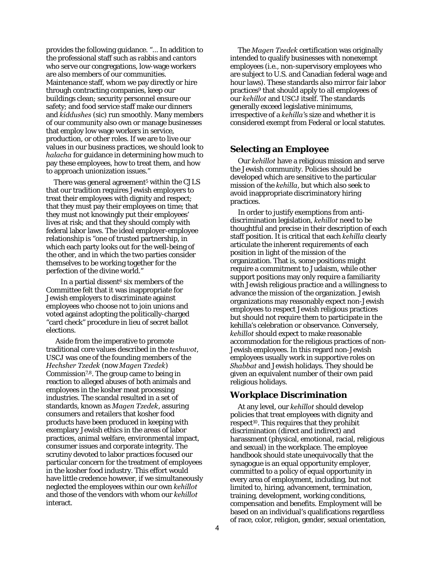provides the following guidance. "... In addition to the professional staff such as rabbis and cantors who serve our congregations, low-wage workers are also members of our communities. Maintenance staff, whom we pay directly or hire through contracting companies, keep our buildings clean; security personnel ensure our safety; and food service staff make our dinners and *kiddushes* (*sic*) run smoothly. Many members of our community also own or manage businesses that employ low wage workers in service, production, or other roles. If we are to live our values in our business practices, we should look to *halacha* for guidance in determining how much to pay these employees, how to treat them, and how to approach unionization issues."

There was general agreement<sup>5</sup> within the CJLS that our tradition requires Jewish employers to treat their employees with dignity and respect; that they must pay their employees on time; that they must not knowingly put their employees' lives at risk; and that they should comply with federal labor laws. The ideal employer-employee relationship is "one of trusted partnership, in which each party looks out for the well-being of the other, and in which the two parties consider themselves to be working together for the perfection of the divine world."

In a partial dissent<sup>6</sup> six members of the Committee felt that it was inappropriate for Jewish employers to discriminate against employees who choose not to join unions and voted against adopting the politically-charged "card check" procedure in lieu of secret ballot elections.

 Aside from the imperative to promote traditional core values described in the *teshuvot*, USCJ was one of the founding members of the *Hechsher Tzedek* (now *Magen Tzedek*) Commission<sup>7,8</sup>. The group came to being in reaction to alleged abuses of both animals and employees in the kosher meat processing industries. The scandal resulted in a set of standards, known as *Magen Tzedek*, assuring consumers and retailers that kosher food products have been produced in keeping with exemplary Jewish ethics in the areas of labor practices, animal welfare, environmental impact, consumer issues and corporate integrity. The scrutiny devoted to labor practices focused our particular concern for the treatment of employees in the kosher food industry. This effort would have little credence however, if we simultaneously neglected the employees within our own *kehillot* and those of the vendors with whom our *kehillot* interact.

The *Magen Tzedek* certification was originally intended to qualify businesses with nonexempt employees (i.e., non-supervisory employees who are subject to U.S. and Canadian federal wage and hour laws). These standards also mirror fair labor practices9 that should apply to all employees of our *kehillot* and USCJ itself. The standards generally exceed legislative minimums, irrespective of a *kehilla'*s size and whether it is considered exempt from Federal or local statutes.

## **Selecting an Employee**

Our *kehillot* have a religious mission and serve the Jewish community. Policies should be developed which are sensitive to the particular mission of the *kehilla*, but which also seek to avoid inappropriate discriminatory hiring practices.

In order to justify exemptions from antidiscrimination legislation, *kehillot* need to be thoughtful and precise in their description of each staff position. It is critical that each *kehilla* clearly articulate the inherent requirements of each position in light of the mission of the organization. That is, some positions might require a commitment to Judaism, while other support positions may only require a familiarity with Jewish religious practice and a willingness to advance the mission of the organization. Jewish organizations may reasonably expect non-Jewish employees to respect Jewish religious practices but should not require them to participate in the kehilla's celebration or observance. Conversely, *kehillot* should expect to make reasonable accommodation for the religious practices of non-Jewish employees. In this regard non-Jewish employees usually work in supportive roles on *Shabbat* and Jewish holidays. They should be given an equivalent number of their own paid religious holidays.

## **Workplace Discrimination**

At any level, our *kehillot* should develop policies that treat employees with dignity and respect<sup>10</sup>. This requires that they prohibit discrimination (direct and indirect) and harassment (physical, emotional, racial, religious and sexual) in the workplace. The employee handbook should state unequivocally that the synagogue is an equal opportunity employer, committed to a policy of equal opportunity in every area of employment, including, but not limited to, hiring, advancement, termination, training, development, working conditions, compensation and benefits. Employment will be based on an individual's qualifications regardless of race, color, religion, gender, sexual orientation,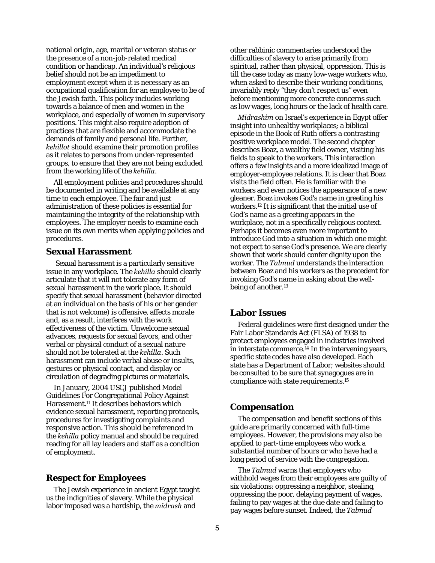national origin, age, marital or veteran status or the presence of a non-job-related medical condition or handicap. An individual's religious belief should not be an impediment to employment except when it is necessary as an occupational qualification for an employee to be of the Jewish faith. This policy includes working towards a balance of men and women in the workplace, and especially of women in supervisory positions. This might also require adoption of practices that are flexible and accommodate the demands of family and personal life. Further, *kehillot* should examine their promotion profiles as it relates to persons from under-represented groups, to ensure that they are not being excluded from the working life of the *kehilla*.

All employment policies and procedures should be documented in writing and be available at any time to each employee. The fair and just administration of these policies is essential for maintaining the integrity of the relationship with employees. The employer needs to examine each issue on its own merits when applying policies and procedures.

## **Sexual Harassment**

 Sexual harassment is a particularly sensitive issue in any workplace. The *kehilla* should clearly articulate that it will not tolerate any form of sexual harassment in the work place. It should specify that sexual harassment (behavior directed at an individual on the basis of his or her gender that is not welcome) is offensive, affects morale and, as a result, interferes with the work effectiveness of the victim. Unwelcome sexual advances, requests for sexual favors, and other verbal or physical conduct of a sexual nature should not be tolerated at the *kehilla*. Such harassment can include verbal abuse or insults, gestures or physical contact, and display or circulation of degrading pictures or materials.

In January, 2004 USCJ published Model Guidelines For Congregational Policy Against Harassment.<sup>11</sup> It describes behaviors which evidence sexual harassment, reporting protocols, procedures for investigating complaints and responsive action. This should be referenced in the *kehilla* policy manual and should be required reading for all lay leaders and staff as a condition of employment.

## **Respect for Employees**

The Jewish experience in ancient Egypt taught us the indignities of slavery. While the physical labor imposed was a hardship, the *midrash* and

other rabbinic commentaries understood the difficulties of slavery to arise primarily from spiritual, rather than physical, oppression. This is till the case today as many low-wage workers who, when asked to describe their working conditions, invariably reply "they don't respect us" even before mentioning more concrete concerns such as low wages, long hours or the lack of health care.

*Midrashim* on Israel's experience in Egypt offer insight into unhealthy workplaces; a biblical episode in the Book of Ruth offers a contrasting positive workplace model. The second chapter describes Boaz, a wealthy field owner, visiting his fields to speak to the workers. This interaction offers a few insights and a more idealized image of employer-employee relations. It is clear that Boaz visits the field often. He is familiar with the workers and even notices the appearance of a new gleaner. Boaz invokes God's name in greeting his workers.12 It is significant that the initial use of God's name as a greeting appears in the workplace, not in a specifically religious context. Perhaps it becomes even more important to introduce God into a situation in which one might not expect to sense God's presence. We are clearly shown that work should confer dignity upon the worker. The *Talmud* understands the interaction between Boaz and his workers as the precedent for invoking God's name in asking about the wellbeing of another.<sup>13</sup>

#### **Labor Issues**

Federal guidelines were first designed under the Fair Labor Standards Act (FLSA) of 1938 to protect employees engaged in industries involved in interstate commerce.<sup>14</sup> In the intervening years, specific state codes have also developed. Each state has a Department of Labor; websites should be consulted to be sure that synagogues are in compliance with state requirements.<sup>15</sup>

#### **Compensation**

The compensation and benefit sections of this guide are primarily concerned with full-time employees. However, the provisions may also be applied to part-time employees who work a substantial number of hours or who have had a long period of service with the congregation.

The *Talmud* warns that employers who withhold wages from their employees are guilty of six violations: oppressing a neighbor, stealing, oppressing the poor, delaying payment of wages, failing to pay wages at the due date and failing to pay wages before sunset. Indeed, the *Talmud*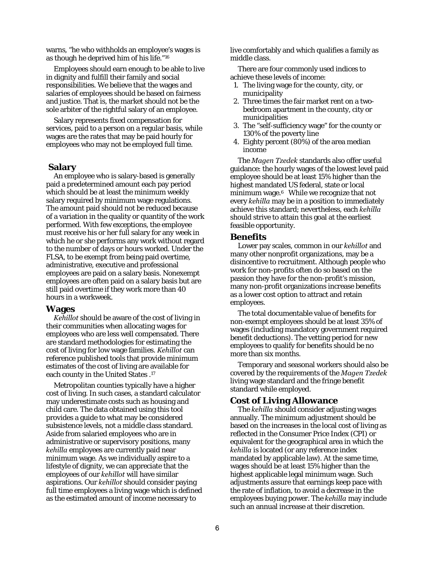warns, "he who withholds an employee's wages is as though he deprived him of his life."<sup>16</sup>

Employees should earn enough to be able to live in dignity and fulfill their family and social responsibilities. We believe that the wages and salaries of employees should be based on fairness and justice. That is, the market should not be the sole arbiter of the rightful salary of an employee.

Salary represents fixed compensation for services, paid to a person on a regular basis, while wages are the rates that may be paid hourly for employees who may not be employed full time.

#### **Salary**

An employee who is salary-based is generally paid a predetermined amount each pay period which should be at least the minimum weekly salary required by minimum wage regulations. The amount paid should not be reduced because of a variation in the quality or quantity of the work performed. With few exceptions, the employee must receive his or her full salary for any week in which he or she performs any work without regard to the number of days or hours worked. Under the FLSA, to be exempt from being paid overtime, administrative, executive and professional employees are paid on a salary basis. Nonexempt employees are often paid on a salary basis but are still paid overtime if they work more than 40 hours in a workweek.

#### **Wages**

*Kehillot* should be aware of the cost of living in their communities when allocating wages for employees who are less well compensated. There are standard methodologies for estimating the cost of living for low wage families. *Kehillot* can reference published tools that provide minimum estimates of the cost of living are available for each county in the United States .<sup>17</sup>

Metropolitan counties typically have a higher cost of living. In such cases, a standard calculator may underestimate costs such as housing and child care. The data obtained using this tool provides a guide to what may be considered subsistence levels, not a middle class standard. Aside from salaried employees who are in administrative or supervisory positions, many *kehilla* employees are currently paid near minimum wage. As we individually aspire to a lifestyle of dignity, we can appreciate that the employees of our *kehillot* will have similar aspirations. Our *kehillot* should consider paying full time employees a living wage which is defined as the estimated amount of income necessary to

live comfortably and which qualifies a family as middle class.

There are four commonly used indices to achieve these levels of income:

- 1. The living wage for the county, city, or municipality
- 2. Three times the fair market rent on a twobedroom apartment in the county, city or municipalities
- 3. The "self-sufficiency wage" for the county or 130% of the poverty line
- 4. Eighty percent (80%) of the area median income

The *Magen Tzedek* standards also offer useful guidance: the hourly wages of the lowest level paid employee should be at least 15% higher than the highest mandated US federal, state or local minimum wage.<sup>6</sup> While we recognize that not every *kehilla* may be in a position to immediately achieve this standard; nevertheless, each *kehilla* should strive to attain this goal at the earliest feasible opportunity.

#### **Benefits**

Lower pay scales, common in our *kehillot* and many other nonprofit organizations, may be a disincentive to recruitment. Although people who work for non-profits often do so based on the passion they have for the non-profit's mission, many non-profit organizations increase benefits as a lower cost option to attract and retain employees.

The total documentable value of benefits for non-exempt employees should be at least 35% of wages (including mandatory government required benefit deductions). The vetting period for new employees to qualify for benefits should be no more than six months.

Temporary and seasonal workers should also be covered by the requirements of the *Magen Tzedek* living wage standard and the fringe benefit standard while employed.

#### **Cost of Living Allowance**

The *kehilla* should consider adjusting wages annually. The minimum adjustment should be based on the increases in the local cost of living as reflected in the Consumer Price Index (CPI) or equivalent for the geographical area in which the *kehilla* is located (or any reference index mandated by applicable law). At the same time, wages should be at least 15% higher than the highest applicable legal minimum wage. Such adjustments assure that earnings keep pace with the rate of inflation, to avoid a decrease in the employees buying power. The *kehilla* may include such an annual increase at their discretion.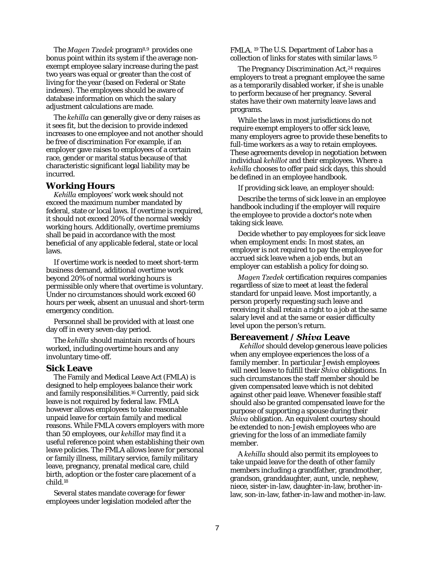The *Magen Tzedek* program8,9 provides one bonus point within its system if the average nonexempt employee salary increase during the past two years was equal or greater than the cost of living for the year (based on Federal or State indexes). The employees should be aware of database information on which the salary adjustment calculations are made.

The *kehilla* can generally give or deny raises as it sees fit, but the decision to provide indexed increases to one employee and not another should be free of discrimination For example, if an employer gave raises to employees of a certain race, gender or marital status because of that characteristic significant legal liability may be incurred.

#### **Working Hours**

*Kehilla* employees' work week should not exceed the maximum number mandated by federal, state or local laws. If overtime is required, it should not exceed 20% of the normal weekly working hours. Additionally, overtime premiums shall be paid in accordance with the most beneficial of any applicable federal, state or local laws.

If overtime work is needed to meet short-term business demand, additional overtime work beyond 20% of normal working hours is permissible only where that overtime is voluntary. Under no circumstances should work exceed 60 hours per week, absent an unusual and short-term emergency condition.

Personnel shall be provided with at least one day off in every seven-day period.

The *kehilla* should maintain records of hours worked, including overtime hours and any involuntary time-off.

#### **Sick Leave**

The Family and Medical Leave Act (FMLA) is designed to help employees balance their work and family responsibilities.<sup>16</sup> Currently, paid sick leave is not required by federal law. FMLA however allows employees to take reasonable unpaid leave for certain family and medical reasons. While FMLA covers employers with more than 50 employees, our *kehillot* may find it a useful reference point when establishing their own leave policies. The FMLA allows leave for personal or family illness, military service, family military leave, pregnancy, prenatal medical care, child birth, adoption or the foster care placement of a child.<sup>18</sup>

Several states mandate coverage for fewer employees under legislation modeled after the FMLA. <sup>19</sup> The U.S. Department of Labor has a collection of links for states with similar laws.<sup>15</sup>

The Pregnancy Discrimination Act,<sup>24</sup> requires employers to treat a pregnant employee the same as a temporarily disabled worker, if she is unable to perform because of her pregnancy. Several states have their own maternity leave laws and programs.

While the laws in most jurisdictions do not require exempt employers to offer sick leave, many employers agree to provide these benefits to full-time workers as a way to retain employees. These agreements develop in negotiation between individual *kehillot* and their employees. Where a *kehilla* chooses to offer paid sick days, this should be defined in an employee handbook.

If providing sick leave, an employer should:

Describe the terms of sick leave in an employee handbook including if the employer will require the employee to provide a doctor's note when taking sick leave.

Decide whether to pay employees for sick leave when employment ends: In most states, an employer is not required to pay the employee for accrued sick leave when a job ends, but an employer can establish a policy for doing so.

*Magen Tzedek* certification requires companies regardless of size to meet at least the federal standard for unpaid leave. Most importantly, a person properly requesting such leave and receiving it shall retain a right to a job at the same salary level and at the same or easier difficulty level upon the person's return.

#### **Bereavement /** *Shiva* **Leave**

*Kehillot* should develop generous leave policies when any employee experiences the loss of a family member. In particular Jewish employees will need leave to fulfill their *Shiva* obligations. In such circumstances the staff member should be given compensated leave which is not debited against other paid leave. Whenever feasible staff should also be granted compensated leave for the purpose of supporting a spouse during their *Shiva* obligation. An equivalent courtesy should be extended to non-Jewish employees who are grieving for the loss of an immediate family member.

A *kehilla* should also permit its employees to take unpaid leave for the death of other family members including a grandfather, grandmother, grandson, granddaughter, aunt, uncle, nephew, niece, sister-in-law, daughter-in-law, brother-inlaw, son-in-law, father-in-law and mother-in-law.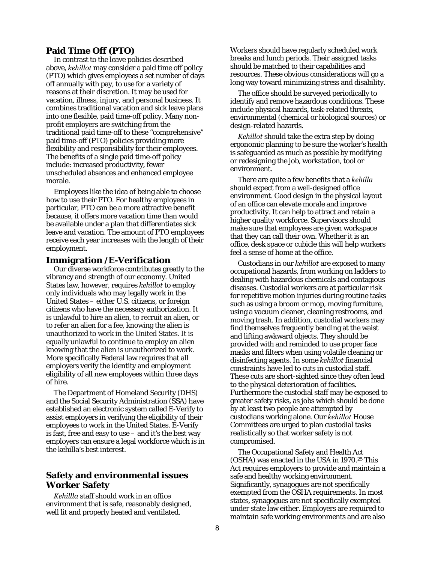## **Paid Time Off (PTO)**

In contrast to the leave policies described above, *kehillot* may consider a paid time off policy (PTO) which gives employees a set number of days off annually with pay, to use for a variety of reasons at their discretion. It may be used for vacation, illness, injury, and personal business. It combines traditional vacation and sick leave plans into one flexible, paid time-off policy. Many nonprofit employers are switching from the traditional paid time-off to these "comprehensive" paid time-off (PTO) policies providing more flexibility and responsibility for their employees. The benefits of a single paid time-off policy include: increased productivity, fewer unscheduled absences and enhanced employee morale.

Employees like the idea of being able to choose how to use their PTO. For healthy employees in particular, PTO can be a more attractive benefit because, it offers more vacation time than would be available under a plan that differentiates sick leave and vacation. The amount of PTO employees receive each year increases with the length of their employment.

#### **Immigration /E-Verification**

Our diverse workforce contributes greatly to the vibrancy and strength of our economy. United States law, however, requires *kehillot* to employ only individuals who may legally work in the United States – either U.S. citizens, or foreign citizens who have the necessary authorization. It is unlawful to hire an alien, to recruit an alien, or to refer an alien for a fee, knowing the alien is unauthorized to work in the United States. It is equally unlawful to continue to employ an alien knowing that the alien is unauthorized to work. More specifically Federal law requires that all employers verify the identity and employment eligibility of all new employees within three days of hire.

The Department of Homeland Security (DHS) and the Social Security Administration (SSA) have established an electronic system called E-Verify to assist employers in verifying the eligibility of their employees to work in the United States. E-Verify is fast, free and easy to use – and it's the best way employers can ensure a legal workforce which is in the kehilla's best interest.

# **Safety and environmental issues Worker Safety**

*Kehillla* staff should work in an office environment that is safe, reasonably designed, well lit and properly heated and ventilated.

Workers should have regularly scheduled work breaks and lunch periods. Their assigned tasks should be matched to their capabilities and resources. These obvious considerations will go a long way toward minimizing stress and disability.

The office should be surveyed periodically to identify and remove hazardous conditions. These include physical hazards, task-related threats, environmental (chemical or biological sources) or design-related hazards.

*Kehillot* should take the extra step by doing ergonomic planning to be sure the worker's health is safeguarded as much as possible by modifying or redesigning the job, workstation, tool or environment.

There are quite a few benefits that a *kehilla* should expect from a well-designed office environment. Good design in the physical layout of an office can elevate morale and improve productivity. It can help to attract and retain a higher quality workforce. Supervisors should make sure that employees are given workspace that they can call their own. Whether it is an office, desk space or cubicle this will help workers feel a sense of home at the office.

Custodians in our *kehillot* are exposed to many occupational hazards, from working on ladders to dealing with hazardous chemicals and contagious diseases. Custodial workers are at particular risk for repetitive motion injuries during routine tasks such as using a broom or mop, moving furniture, using a vacuum cleaner, cleaning restrooms, and moving trash. In addition, custodial workers may find themselves frequently bending at the waist and lifting awkward objects. They should be provided with and reminded to use proper face masks and filters when using volatile cleaning or disinfecting agents. In some *kehillot* financial constraints have led to cuts in custodial staff. These cuts are short-sighted since they often lead to the physical deterioration of facilities. Furthermore the custodial staff may be exposed to greater safety risks, as jobs which should be done by at least two people are attempted by custodians working alone. Our *kehillot* House Committees are urged to plan custodial tasks realistically so that worker safety is not compromised.

The Occupational Safety and Health Act (OSHA) was enacted in the USA in 1970.25 This Act requires employers to provide and maintain a safe and healthy working environment. Significantly, synagogues are not specifically exempted from the OSHA requirements. In most states, synagogues are not specifically exempted under state law either. Employers are required to maintain safe working environments and are also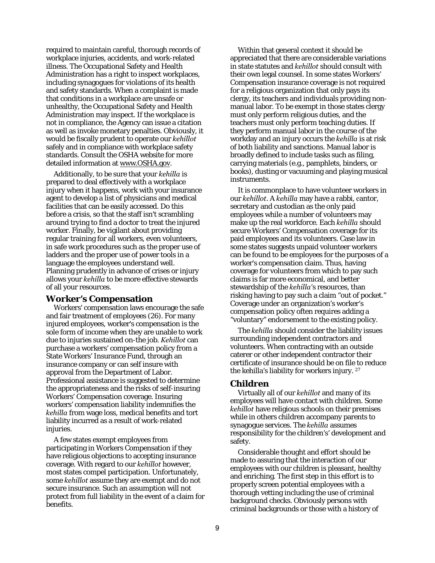required to maintain careful, thorough records of workplace injuries, accidents, and work-related illness. The Occupational Safety and Health Administration has a right to inspect workplaces, including synagogues for violations of its health and safety standards. When a complaint is made that conditions in a workplace are unsafe or unhealthy, the Occupational Safety and Health Administration may inspect. If the workplace is not in compliance, the Agency can issue a citation as well as invoke monetary penalties. Obviously, it would be fiscally prudent to operate our *kehillot* safely and in compliance with workplace safety standards. Consult the OSHA website for more detailed information at www.OSHA.gov.

Additionally, to be sure that your *kehilla* is prepared to deal effectively with a workplace injury when it happens, work with your insurance agent to develop a list of physicians and medical facilities that can be easily accessed. Do this before a crisis, so that the staff isn't scrambling around trying to find a doctor to treat the injured worker. Finally, be vigilant about providing regular training for all workers, even volunteers, in safe work procedures such as the proper use of ladders and the proper use of power tools in a language the employees understand well. Planning prudently in advance of crises or injury allows your *kehilla* to be more effective stewards of all your resources.

#### **Worker's Compensation**

Workers' compensation laws encourage the safe and fair treatment of employees (26). For many injured employees, worker's compensation is the sole form of income when they are unable to work due to injuries sustained on-the job. *Kehillot* can purchase a workers' compensation policy from a State Workers' Insurance Fund, through an insurance company or can self insure with approval from the Department of Labor. Professional assistance is suggested to determine the appropriateness and the risks of self-insuring Workers' Compensation coverage. Insuring workers' compensation liability indemnifies the *kehilla* from wage loss, medical benefits and tort liability incurred as a result of work-related injuries.

A few states exempt employees from participating in Workers Compensation if they have religious objections to accepting insurance coverage. With regard to our *kehillot* however, most states compel participation. Unfortunately, some *kehillot* assume they are exempt and do not secure insurance. Such an assumption will not protect from full liability in the event of a claim for benefits.

Within that general context it should be appreciated that there are considerable variations in state statutes and *kehillot* should consult with their own legal counsel. In some states Workers' Compensation insurance coverage is not required for a religious organization that only pays its clergy, its teachers and individuals providing nonmanual labor. To be exempt in those states clergy must only perform religious duties, and the teachers must only perform teaching duties. If they perform manual labor in the course of the workday and an injury occurs the *kehilla* is at risk of both liability and sanctions. Manual labor is broadly defined to include tasks such as filing, carrying materials (e.g., pamphlets, binders, or books), dusting or vacuuming and playing musical instruments.

It is commonplace to have volunteer workers in our *kehillot*. A *kehilla* may have a rabbi, cantor, secretary and custodian as the only paid employees while a number of volunteers may make up the real workforce. Each *kehilla* should secure Workers' Compensation coverage for its paid employees and its volunteers. Case law in some states suggests unpaid volunteer workers can be found to be employees for the purposes of a worker's compensation claim. Thus, having coverage for volunteers from which to pay such claims is far more economical, and better stewardship of the *kehilla*'s resources, than risking having to pay such a claim "out of pocket." Coverage under an organization's worker's compensation policy often requires adding a "voluntary" endorsement to the existing policy.

The *kehilla* should consider the liability issues surrounding independent contractors and volunteers. When contracting with an outside caterer or other independent contractor their certificate of insurance should be on file to reduce the kehilla's liability for workers injury. <sup>27</sup>

#### **Children**

Virtually all of our *kehillot* and many of its employees will have contact with children. Some *kehillot* have religious schools on their premises while in others children accompany parents to synagogue services. The *kehilla* assumes responsibility for the children's' development and safety.

Considerable thought and effort should be made to assuring that the interaction of our employees with our children is pleasant, healthy and enriching. The first step in this effort is to properly screen potential employees with a thorough vetting including the use of criminal background checks. Obviously persons with criminal backgrounds or those with a history of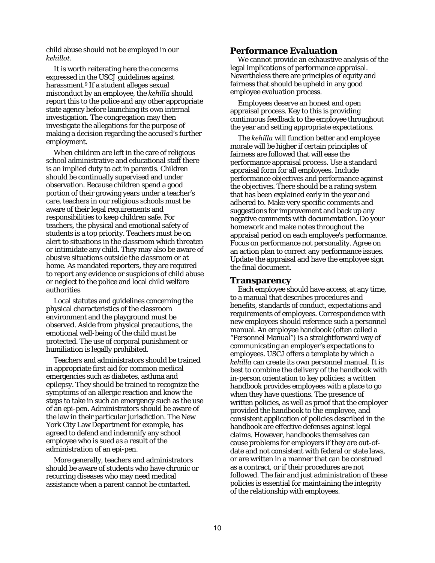child abuse should not be employed in our *kehillot*.

It is worth reiterating here the concerns expressed in the USCJ guidelines against harassment.<sup>9</sup> If a student alleges sexual misconduct by an employee, the *kehilla* should report this to the police and any other appropriate state agency before launching its own internal investigation. The congregation may then investigate the allegations for the purpose of making a decision regarding the accused's further employment.

When children are left in the care of religious school administrative and educational staff there is an implied duty to act in parentis. Children should be continually supervised and under observation. Because children spend a good portion of their growing years under a teacher's care, teachers in our religious schools must be aware of their legal requirements and responsibilities to keep children safe. For teachers, the physical and emotional safety of students is a top priority. Teachers must be on alert to situations in the classroom which threaten or intimidate any child. They may also be aware of abusive situations outside the classroom or at home. As mandated reporters, they are required to report any evidence or suspicions of child abuse or neglect to the police and local child welfare authorities

Local statutes and guidelines concerning the physical characteristics of the classroom environment and the playground must be observed. Aside from physical precautions, the emotional well-being of the child must be protected. The use of corporal punishment or humiliation is legally prohibited.

Teachers and administrators should be trained in appropriate first aid for common medical emergencies such as diabetes, asthma and epilepsy. They should be trained to recognize the symptoms of an allergic reaction and know the steps to take in such an emergency such as the use of an epi-pen. Administrators should be aware of the law in their particular jurisdiction. The New York City Law Department for example, has agreed to defend and indemnify any school employee who is sued as a result of the administration of an epi-pen.

More generally, teachers and administrators should be aware of students who have chronic or recurring diseases who may need medical assistance when a parent cannot be contacted.

## **Performance Evaluation**

We cannot provide an exhaustive analysis of the legal implications of performance appraisal. Nevertheless there are principles of equity and fairness that should be upheld in any good employee evaluation process.

Employees deserve an honest and open appraisal process. Key to this is providing continuous feedback to the employee throughout the year and setting appropriate expectations.

The *kehilla* will function better and employee morale will be higher if certain principles of fairness are followed that will ease the performance appraisal process. Use a standard appraisal form for all employees. Include performance objectives and performance against the objectives. There should be a rating system that has been explained early in the year and adhered to. Make very specific comments and suggestions for improvement and back up any negative comments with documentation. Do your homework and make notes throughout the appraisal period on each employee's performance. Focus on performance not personality. Agree on an action plan to correct any performance issues. Update the appraisal and have the employee sign the final document.

#### **Transparency**

Each employee should have access, at any time, to a manual that describes procedures and benefits, standards of conduct, expectations and requirements of employees. Correspondence with new employees should reference such a personnel manual. An employee handbook (often called a "Personnel Manual") is a straightforward way of communicating an employer's expectations to employees. USCJ offers a template by which a *kehilla* can create its own personnel manual. It is best to combine the delivery of the handbook with in-person orientation to key policies; a written handbook provides employees with a place to go when they have questions. The presence of written policies, as well as proof that the employer provided the handbook to the employee, and consistent application of policies described in the handbook are effective defenses against legal claims. However, handbooks themselves can cause problems for employers if they are out-ofdate and not consistent with federal or state laws, or are written in a manner that can be construed as a contract, or if their procedures are not followed. The fair and just administration of these policies is essential for maintaining the integrity of the relationship with employees.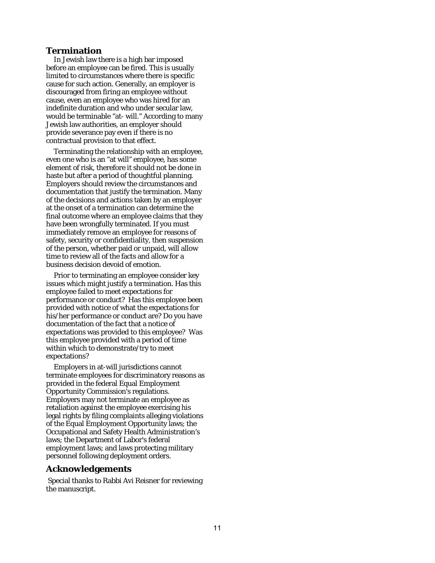## **Termination**

In Jewish law there is a high bar imposed before an employee can be fired. This is usually limited to circumstances where there is specific cause for such action. Generally, an employer is discouraged from firing an employee without cause, even an employee who was hired for an indefinite duration and who under secular law, would be terminable "at- will." According to many Jewish law authorities, an employer should provide severance pay even if there is no contractual provision to that effect.

Terminating the relationship with an employee, even one who is an "at will" employee, has some element of risk, therefore it should not be done in haste but after a period of thoughtful planning. Employers should review the circumstances and documentation that justify the termination. Many of the decisions and actions taken by an employer at the onset of a termination can determine the final outcome where an employee claims that they have been wrongfully terminated. If you must immediately remove an employee for reasons of safety, security or confidentiality, then suspension of the person, whether paid or unpaid, will allow time to review all of the facts and allow for a business decision devoid of emotion.

Prior to terminating an employee consider key issues which might justify a termination. Has this employee failed to meet expectations for performance or conduct? Has this employee been provided with notice of what the expectations for his/her performance or conduct are? Do you have documentation of the fact that a notice of expectations was provided to this employee? Was this employee provided with a period of time within which to demonstrate/try to meet expectations?

Employers in at-will jurisdictions cannot terminate employees for discriminatory reasons as provided in the federal Equal Employment Opportunity Commission's regulations. Employers may not terminate an employee as retaliation against the employee exercising his legal rights by filing complaints alleging violations of the Equal Employment Opportunity laws; the Occupational and Safety Health Administration's laws; the Department of Labor's federal employment laws; and laws protecting military personnel following deployment orders.

## **Acknowledgements**

Special thanks to Rabbi Avi Reisner for reviewing the manuscript.